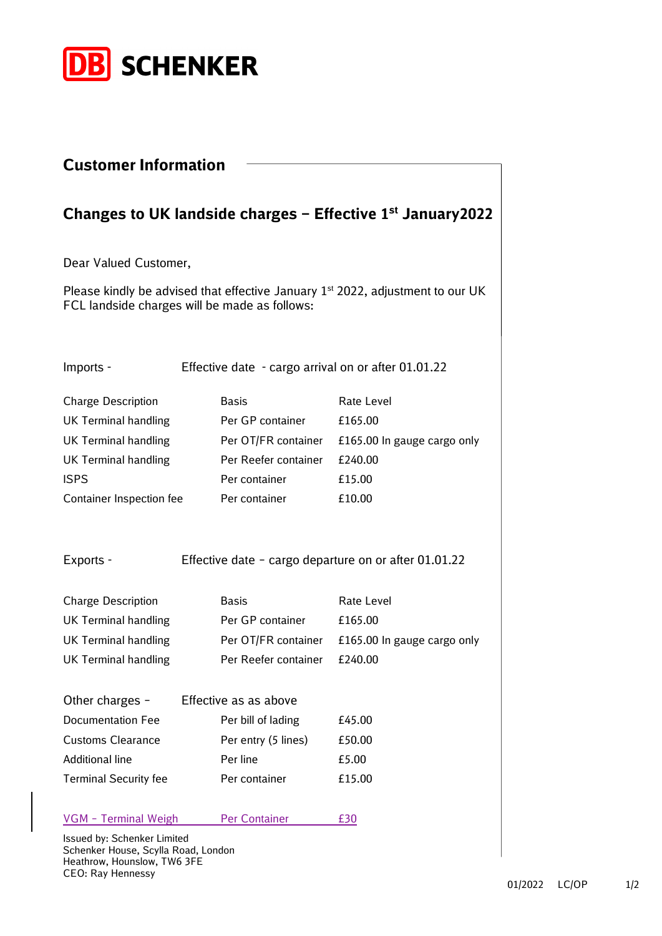

| <b>Customer Information</b>                                        |                                                         |                                                                                  |
|--------------------------------------------------------------------|---------------------------------------------------------|----------------------------------------------------------------------------------|
|                                                                    |                                                         | Changes to UK landside charges – Effective $1st$ January 2022                    |
| Dear Valued Customer,                                              |                                                         |                                                                                  |
| FCL landside charges will be made as follows:                      |                                                         | Please kindly be advised that effective January $1st$ 2022, adjustment to our UK |
| Imports -                                                          | Effective date - cargo arrival on or after 01.01.22     |                                                                                  |
| <b>Charge Description</b>                                          | <b>Basis</b>                                            | Rate Level                                                                       |
| <b>UK Terminal handling</b>                                        | Per GP container                                        | £165.00                                                                          |
| <b>UK Terminal handling</b>                                        | Per OT/FR container                                     | £165.00 In gauge cargo only                                                      |
| <b>UK Terminal handling</b>                                        | Per Reefer container                                    | £240.00                                                                          |
| <b>ISPS</b>                                                        | Per container                                           | £15.00                                                                           |
| Container Inspection fee                                           | Per container                                           | £10.00                                                                           |
| Exports -                                                          | Effective date - cargo departure on or after $01.01.22$ |                                                                                  |
| <b>Charge Description</b>                                          | <b>Basis</b>                                            | Rate Level                                                                       |
| <b>UK Terminal handling</b>                                        | Per GP container                                        | £165.00                                                                          |
| <b>UK Terminal handling</b>                                        | Per OT/FR container                                     | £165.00 In gauge cargo only                                                      |
| <b>UK Terminal handling</b>                                        | Per Reefer container                                    | £240.00                                                                          |
| Other charges -                                                    | Effective as as above                                   |                                                                                  |
| <b>Documentation Fee</b>                                           | Per bill of lading                                      | £45.00                                                                           |
| <b>Customs Clearance</b>                                           | Per entry (5 lines)                                     | £50.00                                                                           |
| <b>Additional line</b>                                             | Per line                                                | £5.00                                                                            |
| <b>Terminal Security fee</b>                                       | Per container                                           | £15.00                                                                           |
| VGM - Terminal Weigh                                               | <b>Per Container</b>                                    | £30                                                                              |
| Issued by: Schenker Limited<br>Schenker House, Scylla Road, London |                                                         |                                                                                  |

Schenker House, Scylla Road, London Heathrow, Hounslow, TW6 3FE CEO: Ray Hennessy